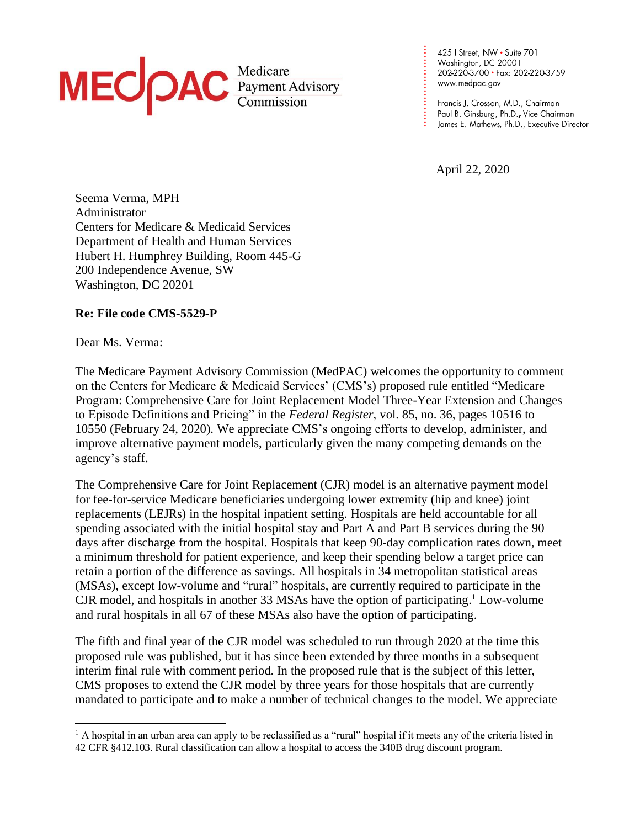

425 | Street, NW · Suite 701 Washington, DC 20001 202-220-3700 · Fax: 202-220-3759 www.medpac.gov

April 22, 2020

**. . . . . . . . . . . . . . . . . . . . . . . . . .**

Seema Verma, MPH Administrator Centers for Medicare & Medicaid Services Department of Health and Human Services Hubert H. Humphrey Building, Room 445-G 200 Independence Avenue, SW Washington, DC 20201

## **Re: File code CMS-5529-P**

Dear Ms. Verma:

The Medicare Payment Advisory Commission (MedPAC) welcomes the opportunity to comment on the Centers for Medicare & Medicaid Services' (CMS's) proposed rule entitled "Medicare Program: Comprehensive Care for Joint Replacement Model Three-Year Extension and Changes to Episode Definitions and Pricing" in the *Federal Register*, vol. 85, no. 36, pages 10516 to 10550 (February 24, 2020). We appreciate CMS's ongoing efforts to develop, administer, and improve alternative payment models, particularly given the many competing demands on the agency's staff.

The Comprehensive Care for Joint Replacement (CJR) model is an alternative payment model for fee-for-service Medicare beneficiaries undergoing lower extremity (hip and knee) joint replacements (LEJRs) in the hospital inpatient setting. Hospitals are held accountable for all spending associated with the initial hospital stay and Part A and Part B services during the 90 days after discharge from the hospital. Hospitals that keep 90-day complication rates down, meet a minimum threshold for patient experience, and keep their spending below a target price can retain a portion of the difference as savings. All hospitals in 34 metropolitan statistical areas (MSAs), except low-volume and "rural" hospitals, are currently required to participate in the CJR model, and hospitals in another 33 MSAs have the option of participating.<sup>1</sup> Low-volume and rural hospitals in all 67 of these MSAs also have the option of participating.

The fifth and final year of the CJR model was scheduled to run through 2020 at the time this proposed rule was published, but it has since been extended by three months in a subsequent interim final rule with comment period. In the proposed rule that is the subject of this letter, CMS proposes to extend the CJR model by three years for those hospitals that are currently mandated to participate and to make a number of technical changes to the model. We appreciate

<sup>&</sup>lt;sup>1</sup> A hospital in an urban area can apply to be reclassified as a "rural" hospital if it meets any of the criteria listed in 42 CFR §412.103. Rural classification can allow a hospital to access the 340B drug discount program.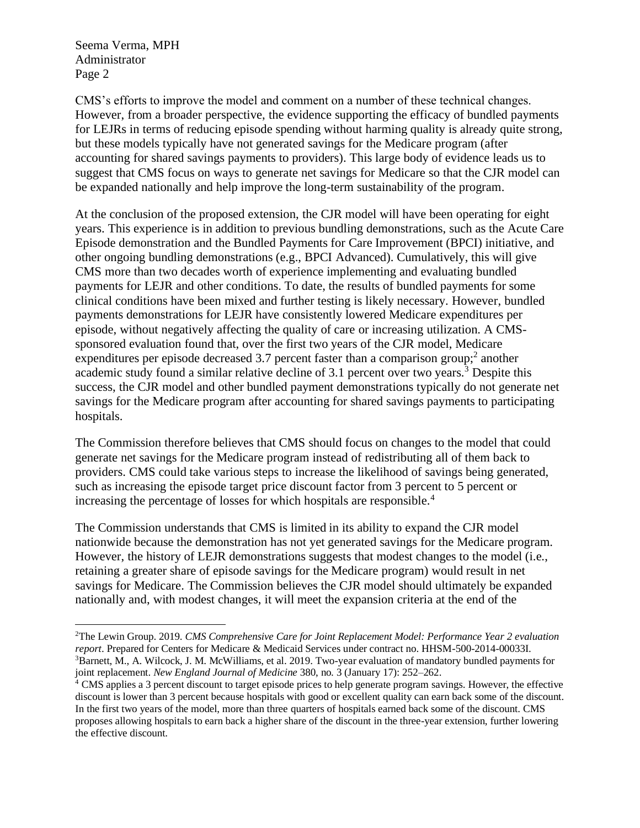CMS's efforts to improve the model and comment on a number of these technical changes. However, from a broader perspective, the evidence supporting the efficacy of bundled payments for LEJRs in terms of reducing episode spending without harming quality is already quite strong, but these models typically have not generated savings for the Medicare program (after accounting for shared savings payments to providers). This large body of evidence leads us to suggest that CMS focus on ways to generate net savings for Medicare so that the CJR model can be expanded nationally and help improve the long-term sustainability of the program.

At the conclusion of the proposed extension, the CJR model will have been operating for eight years. This experience is in addition to previous bundling demonstrations, such as the Acute Care Episode demonstration and the Bundled Payments for Care Improvement (BPCI) initiative, and other ongoing bundling demonstrations (e.g., BPCI Advanced). Cumulatively, this will give CMS more than two decades worth of experience implementing and evaluating bundled payments for LEJR and other conditions. To date, the results of bundled payments for some clinical conditions have been mixed and further testing is likely necessary. However, bundled payments demonstrations for LEJR have consistently lowered Medicare expenditures per episode, without negatively affecting the quality of care or increasing utilization. A CMSsponsored evaluation found that, over the first two years of the CJR model, Medicare expenditures per episode decreased 3.7 percent faster than a comparison group; $^2$  another academic study found a similar relative decline of 3.1 percent over two years.<sup>3</sup> Despite this success, the CJR model and other bundled payment demonstrations typically do not generate net savings for the Medicare program after accounting for shared savings payments to participating hospitals.

The Commission therefore believes that CMS should focus on changes to the model that could generate net savings for the Medicare program instead of redistributing all of them back to providers. CMS could take various steps to increase the likelihood of savings being generated, such as increasing the episode target price discount factor from 3 percent to 5 percent or increasing the percentage of losses for which hospitals are responsible.<sup>4</sup>

The Commission understands that CMS is limited in its ability to expand the CJR model nationwide because the demonstration has not yet generated savings for the Medicare program. However, the history of LEJR demonstrations suggests that modest changes to the model (i.e., retaining a greater share of episode savings for the Medicare program) would result in net savings for Medicare. The Commission believes the CJR model should ultimately be expanded nationally and, with modest changes, it will meet the expansion criteria at the end of the

<sup>2</sup>The Lewin Group. 2019. *CMS Comprehensive Care for Joint Replacement Model: Performance Year 2 evaluation report*. Prepared for Centers for Medicare & Medicaid Services under contract no. HHSM-500-2014-00033I. <sup>3</sup>Barnett, M., A. Wilcock, J. M. McWilliams, et al. 2019. Two-year evaluation of mandatory bundled payments for joint replacement. *New England Journal of Medicine* 380, no. 3 (January 17): 252–262.

<sup>4</sup> CMS applies a 3 percent discount to target episode prices to help generate program savings. However, the effective discount is lower than 3 percent because hospitals with good or excellent quality can earn back some of the discount. In the first two years of the model, more than three quarters of hospitals earned back some of the discount. CMS proposes allowing hospitals to earn back a higher share of the discount in the three-year extension, further lowering the effective discount.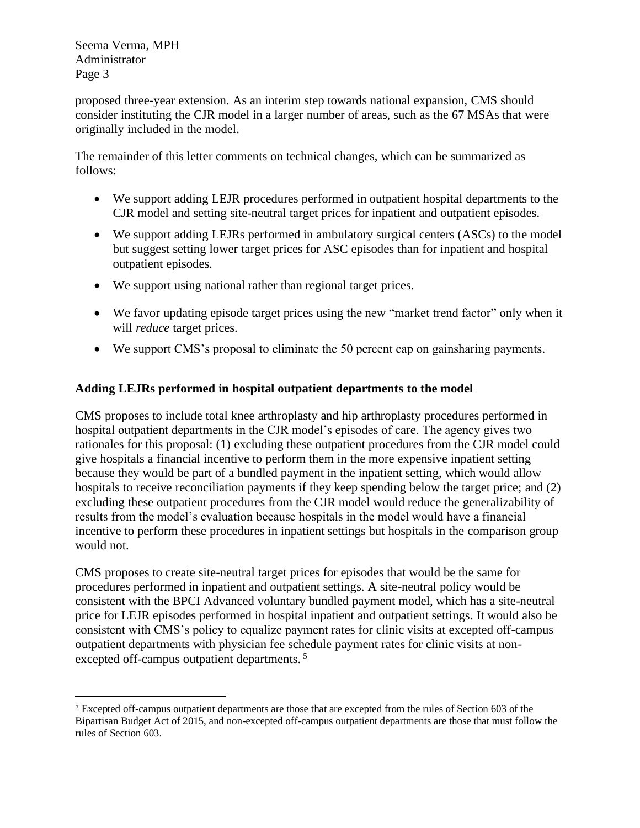proposed three-year extension. As an interim step towards national expansion, CMS should consider instituting the CJR model in a larger number of areas, such as the 67 MSAs that were originally included in the model.

The remainder of this letter comments on technical changes, which can be summarized as follows:

- We support adding LEJR procedures performed in outpatient hospital departments to the CJR model and setting site-neutral target prices for inpatient and outpatient episodes.
- We support adding LEJRs performed in ambulatory surgical centers (ASCs) to the model but suggest setting lower target prices for ASC episodes than for inpatient and hospital outpatient episodes.
- We support using national rather than regional target prices.
- We favor updating episode target prices using the new "market trend factor" only when it will *reduce* target prices.
- We support CMS's proposal to eliminate the 50 percent cap on gainsharing payments.

# **Adding LEJRs performed in hospital outpatient departments to the model**

CMS proposes to include total knee arthroplasty and hip arthroplasty procedures performed in hospital outpatient departments in the CJR model's episodes of care. The agency gives two rationales for this proposal: (1) excluding these outpatient procedures from the CJR model could give hospitals a financial incentive to perform them in the more expensive inpatient setting because they would be part of a bundled payment in the inpatient setting, which would allow hospitals to receive reconciliation payments if they keep spending below the target price; and (2) excluding these outpatient procedures from the CJR model would reduce the generalizability of results from the model's evaluation because hospitals in the model would have a financial incentive to perform these procedures in inpatient settings but hospitals in the comparison group would not.

CMS proposes to create site-neutral target prices for episodes that would be the same for procedures performed in inpatient and outpatient settings. A site-neutral policy would be consistent with the BPCI Advanced voluntary bundled payment model, which has a site-neutral price for LEJR episodes performed in hospital inpatient and outpatient settings. It would also be consistent with CMS's policy to equalize payment rates for clinic visits at excepted off-campus outpatient departments with physician fee schedule payment rates for clinic visits at nonexcepted off-campus outpatient departments.<sup>5</sup>

<sup>5</sup> Excepted off-campus outpatient departments are those that are excepted from the rules of Section 603 of the Bipartisan Budget Act of 2015, and non-excepted off-campus outpatient departments are those that must follow the rules of Section 603.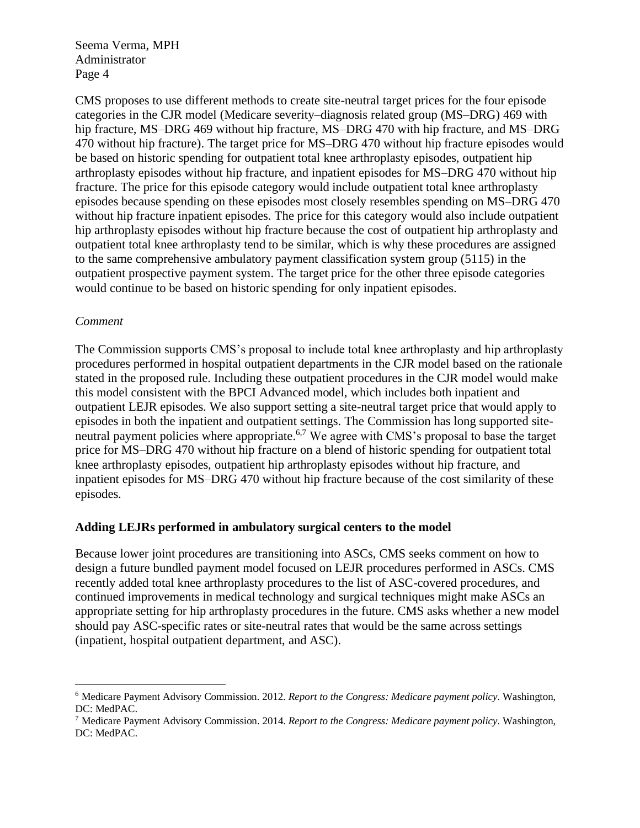CMS proposes to use different methods to create site-neutral target prices for the four episode categories in the CJR model (Medicare severity–diagnosis related group (MS–DRG) 469 with hip fracture, MS–DRG 469 without hip fracture, MS–DRG 470 with hip fracture, and MS–DRG 470 without hip fracture). The target price for MS–DRG 470 without hip fracture episodes would be based on historic spending for outpatient total knee arthroplasty episodes, outpatient hip arthroplasty episodes without hip fracture, and inpatient episodes for MS–DRG 470 without hip fracture. The price for this episode category would include outpatient total knee arthroplasty episodes because spending on these episodes most closely resembles spending on MS–DRG 470 without hip fracture inpatient episodes. The price for this category would also include outpatient hip arthroplasty episodes without hip fracture because the cost of outpatient hip arthroplasty and outpatient total knee arthroplasty tend to be similar, which is why these procedures are assigned to the same comprehensive ambulatory payment classification system group (5115) in the outpatient prospective payment system. The target price for the other three episode categories would continue to be based on historic spending for only inpatient episodes.

### *Comment*

The Commission supports CMS's proposal to include total knee arthroplasty and hip arthroplasty procedures performed in hospital outpatient departments in the CJR model based on the rationale stated in the proposed rule. Including these outpatient procedures in the CJR model would make this model consistent with the BPCI Advanced model, which includes both inpatient and outpatient LEJR episodes. We also support setting a site-neutral target price that would apply to episodes in both the inpatient and outpatient settings. The Commission has long supported siteneutral payment policies where appropriate.<sup>6,7</sup> We agree with CMS's proposal to base the target price for MS–DRG 470 without hip fracture on a blend of historic spending for outpatient total knee arthroplasty episodes, outpatient hip arthroplasty episodes without hip fracture, and inpatient episodes for MS–DRG 470 without hip fracture because of the cost similarity of these episodes.

### **Adding LEJRs performed in ambulatory surgical centers to the model**

Because lower joint procedures are transitioning into ASCs, CMS seeks comment on how to design a future bundled payment model focused on LEJR procedures performed in ASCs. CMS recently added total knee arthroplasty procedures to the list of ASC-covered procedures, and continued improvements in medical technology and surgical techniques might make ASCs an appropriate setting for hip arthroplasty procedures in the future. CMS asks whether a new model should pay ASC-specific rates or site-neutral rates that would be the same across settings (inpatient, hospital outpatient department, and ASC).

<sup>6</sup> Medicare Payment Advisory Commission. 2012. *Report to the Congress: Medicare payment policy*. Washington, DC: MedPAC.

<sup>7</sup> Medicare Payment Advisory Commission. 2014. *Report to the Congress: Medicare payment policy*. Washington, DC: MedPAC.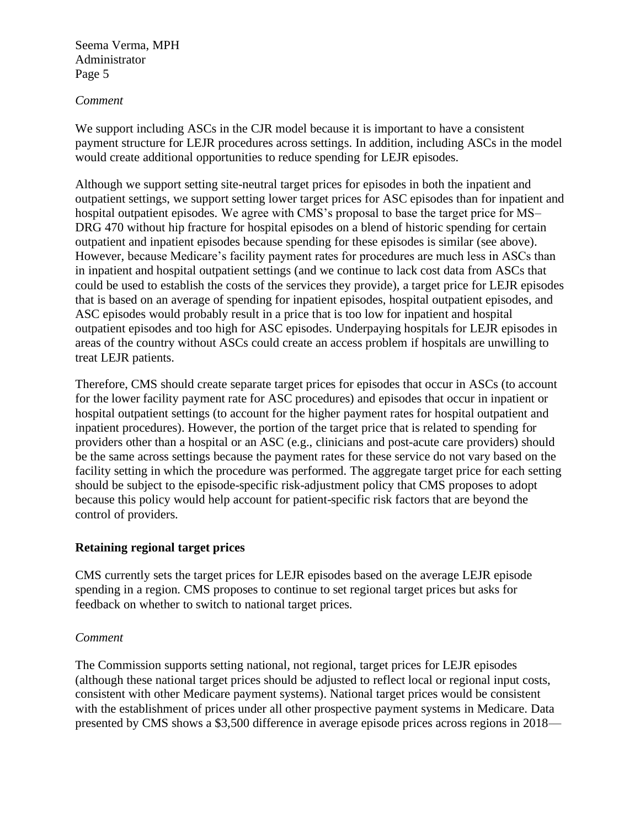### *Comment*

We support including ASCs in the CJR model because it is important to have a consistent payment structure for LEJR procedures across settings. In addition, including ASCs in the model would create additional opportunities to reduce spending for LEJR episodes.

Although we support setting site-neutral target prices for episodes in both the inpatient and outpatient settings, we support setting lower target prices for ASC episodes than for inpatient and hospital outpatient episodes. We agree with CMS's proposal to base the target price for MS– DRG 470 without hip fracture for hospital episodes on a blend of historic spending for certain outpatient and inpatient episodes because spending for these episodes is similar (see above). However, because Medicare's facility payment rates for procedures are much less in ASCs than in inpatient and hospital outpatient settings (and we continue to lack cost data from ASCs that could be used to establish the costs of the services they provide), a target price for LEJR episodes that is based on an average of spending for inpatient episodes, hospital outpatient episodes, and ASC episodes would probably result in a price that is too low for inpatient and hospital outpatient episodes and too high for ASC episodes. Underpaying hospitals for LEJR episodes in areas of the country without ASCs could create an access problem if hospitals are unwilling to treat LEJR patients.

Therefore, CMS should create separate target prices for episodes that occur in ASCs (to account for the lower facility payment rate for ASC procedures) and episodes that occur in inpatient or hospital outpatient settings (to account for the higher payment rates for hospital outpatient and inpatient procedures). However, the portion of the target price that is related to spending for providers other than a hospital or an ASC (e.g., clinicians and post-acute care providers) should be the same across settings because the payment rates for these service do not vary based on the facility setting in which the procedure was performed. The aggregate target price for each setting should be subject to the episode-specific risk-adjustment policy that CMS proposes to adopt because this policy would help account for patient-specific risk factors that are beyond the control of providers.

### **Retaining regional target prices**

CMS currently sets the target prices for LEJR episodes based on the average LEJR episode spending in a region. CMS proposes to continue to set regional target prices but asks for feedback on whether to switch to national target prices.

### *Comment*

The Commission supports setting national, not regional, target prices for LEJR episodes (although these national target prices should be adjusted to reflect local or regional input costs, consistent with other Medicare payment systems). National target prices would be consistent with the establishment of prices under all other prospective payment systems in Medicare. Data presented by CMS shows a \$3,500 difference in average episode prices across regions in 2018—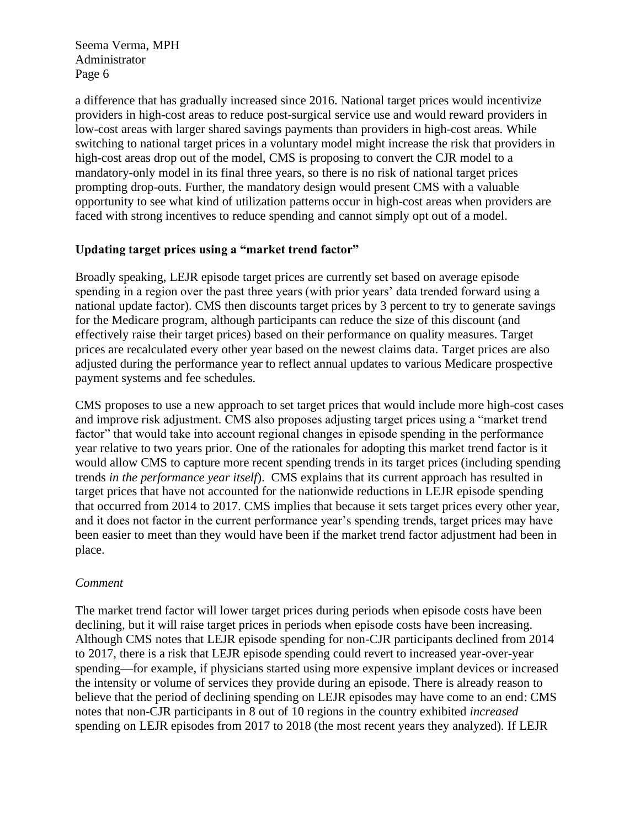a difference that has gradually increased since 2016. National target prices would incentivize providers in high-cost areas to reduce post-surgical service use and would reward providers in low-cost areas with larger shared savings payments than providers in high-cost areas. While switching to national target prices in a voluntary model might increase the risk that providers in high-cost areas drop out of the model, CMS is proposing to convert the CJR model to a mandatory-only model in its final three years, so there is no risk of national target prices prompting drop-outs. Further, the mandatory design would present CMS with a valuable opportunity to see what kind of utilization patterns occur in high-cost areas when providers are faced with strong incentives to reduce spending and cannot simply opt out of a model.

### **Updating target prices using a "market trend factor"**

Broadly speaking, LEJR episode target prices are currently set based on average episode spending in a region over the past three years (with prior years' data trended forward using a national update factor). CMS then discounts target prices by 3 percent to try to generate savings for the Medicare program, although participants can reduce the size of this discount (and effectively raise their target prices) based on their performance on quality measures. Target prices are recalculated every other year based on the newest claims data. Target prices are also adjusted during the performance year to reflect annual updates to various Medicare prospective payment systems and fee schedules.

CMS proposes to use a new approach to set target prices that would include more high-cost cases and improve risk adjustment. CMS also proposes adjusting target prices using a "market trend factor" that would take into account regional changes in episode spending in the performance year relative to two years prior. One of the rationales for adopting this market trend factor is it would allow CMS to capture more recent spending trends in its target prices (including spending trends *in the performance year itself*). CMS explains that its current approach has resulted in target prices that have not accounted for the nationwide reductions in LEJR episode spending that occurred from 2014 to 2017. CMS implies that because it sets target prices every other year, and it does not factor in the current performance year's spending trends, target prices may have been easier to meet than they would have been if the market trend factor adjustment had been in place.

### *Comment*

The market trend factor will lower target prices during periods when episode costs have been declining, but it will raise target prices in periods when episode costs have been increasing. Although CMS notes that LEJR episode spending for non-CJR participants declined from 2014 to 2017, there is a risk that LEJR episode spending could revert to increased year-over-year spending—for example, if physicians started using more expensive implant devices or increased the intensity or volume of services they provide during an episode. There is already reason to believe that the period of declining spending on LEJR episodes may have come to an end: CMS notes that non-CJR participants in 8 out of 10 regions in the country exhibited *increased* spending on LEJR episodes from 2017 to 2018 (the most recent years they analyzed). If LEJR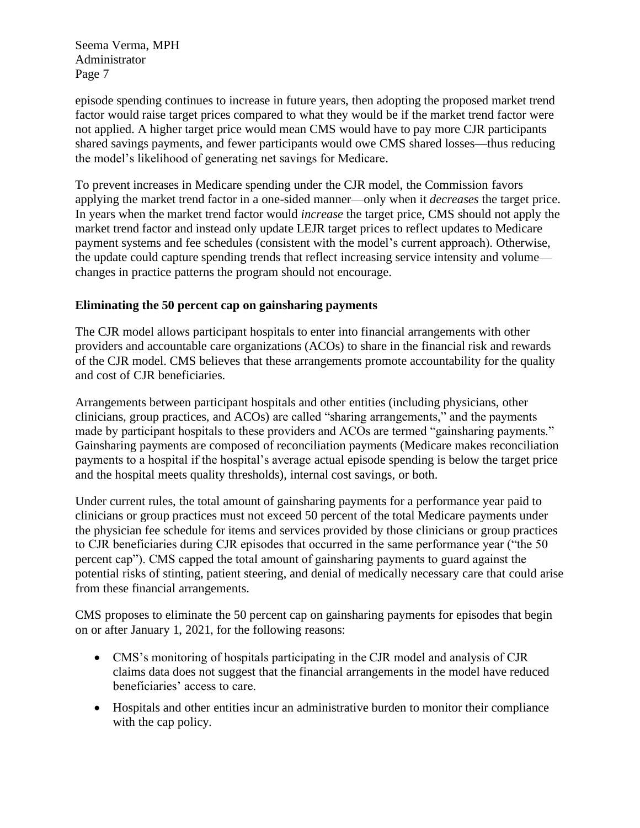episode spending continues to increase in future years, then adopting the proposed market trend factor would raise target prices compared to what they would be if the market trend factor were not applied. A higher target price would mean CMS would have to pay more CJR participants shared savings payments, and fewer participants would owe CMS shared losses—thus reducing the model's likelihood of generating net savings for Medicare.

To prevent increases in Medicare spending under the CJR model, the Commission favors applying the market trend factor in a one-sided manner—only when it *decreases* the target price. In years when the market trend factor would *increase* the target price, CMS should not apply the market trend factor and instead only update LEJR target prices to reflect updates to Medicare payment systems and fee schedules (consistent with the model's current approach). Otherwise, the update could capture spending trends that reflect increasing service intensity and volume changes in practice patterns the program should not encourage.

## **Eliminating the 50 percent cap on gainsharing payments**

The CJR model allows participant hospitals to enter into financial arrangements with other providers and accountable care organizations (ACOs) to share in the financial risk and rewards of the CJR model. CMS believes that these arrangements promote accountability for the quality and cost of CJR beneficiaries.

Arrangements between participant hospitals and other entities (including physicians, other clinicians, group practices, and ACOs) are called "sharing arrangements," and the payments made by participant hospitals to these providers and ACOs are termed "gainsharing payments." Gainsharing payments are composed of reconciliation payments (Medicare makes reconciliation payments to a hospital if the hospital's average actual episode spending is below the target price and the hospital meets quality thresholds), internal cost savings, or both.

Under current rules, the total amount of gainsharing payments for a performance year paid to clinicians or group practices must not exceed 50 percent of the total Medicare payments under the physician fee schedule for items and services provided by those clinicians or group practices to CJR beneficiaries during CJR episodes that occurred in the same performance year ("the 50 percent cap"). CMS capped the total amount of gainsharing payments to guard against the potential risks of stinting, patient steering, and denial of medically necessary care that could arise from these financial arrangements.

CMS proposes to eliminate the 50 percent cap on gainsharing payments for episodes that begin on or after January 1, 2021, for the following reasons:

- CMS's monitoring of hospitals participating in the CJR model and analysis of CJR claims data does not suggest that the financial arrangements in the model have reduced beneficiaries' access to care.
- Hospitals and other entities incur an administrative burden to monitor their compliance with the cap policy.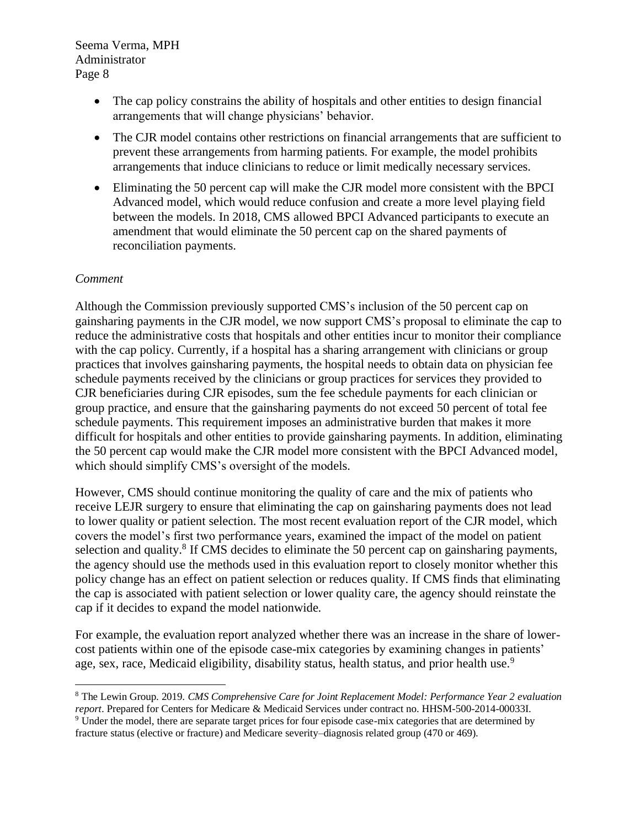- The cap policy constrains the ability of hospitals and other entities to design financial arrangements that will change physicians' behavior.
- The CJR model contains other restrictions on financial arrangements that are sufficient to prevent these arrangements from harming patients. For example, the model prohibits arrangements that induce clinicians to reduce or limit medically necessary services.
- Eliminating the 50 percent cap will make the CJR model more consistent with the BPCI Advanced model, which would reduce confusion and create a more level playing field between the models. In 2018, CMS allowed BPCI Advanced participants to execute an amendment that would eliminate the 50 percent cap on the shared payments of reconciliation payments.

### *Comment*

Although the Commission previously supported CMS's inclusion of the 50 percent cap on gainsharing payments in the CJR model, we now support CMS's proposal to eliminate the cap to reduce the administrative costs that hospitals and other entities incur to monitor their compliance with the cap policy. Currently, if a hospital has a sharing arrangement with clinicians or group practices that involves gainsharing payments, the hospital needs to obtain data on physician fee schedule payments received by the clinicians or group practices for services they provided to CJR beneficiaries during CJR episodes, sum the fee schedule payments for each clinician or group practice, and ensure that the gainsharing payments do not exceed 50 percent of total fee schedule payments. This requirement imposes an administrative burden that makes it more difficult for hospitals and other entities to provide gainsharing payments. In addition, eliminating the 50 percent cap would make the CJR model more consistent with the BPCI Advanced model, which should simplify CMS's oversight of the models.

However, CMS should continue monitoring the quality of care and the mix of patients who receive LEJR surgery to ensure that eliminating the cap on gainsharing payments does not lead to lower quality or patient selection. The most recent evaluation report of the CJR model, which covers the model's first two performance years, examined the impact of the model on patient selection and quality. $8$  If CMS decides to eliminate the 50 percent cap on gainsharing payments, the agency should use the methods used in this evaluation report to closely monitor whether this policy change has an effect on patient selection or reduces quality. If CMS finds that eliminating the cap is associated with patient selection or lower quality care, the agency should reinstate the cap if it decides to expand the model nationwide.

For example, the evaluation report analyzed whether there was an increase in the share of lowercost patients within one of the episode case-mix categories by examining changes in patients' age, sex, race, Medicaid eligibility, disability status, health status, and prior health use.<sup>9</sup>

<sup>8</sup> The Lewin Group. 2019. *CMS Comprehensive Care for Joint Replacement Model: Performance Year 2 evaluation report*. Prepared for Centers for Medicare & Medicaid Services under contract no. HHSM-500-2014-00033I. <sup>9</sup> Under the model, there are separate target prices for four episode case-mix categories that are determined by fracture status (elective or fracture) and Medicare severity–diagnosis related group (470 or 469).